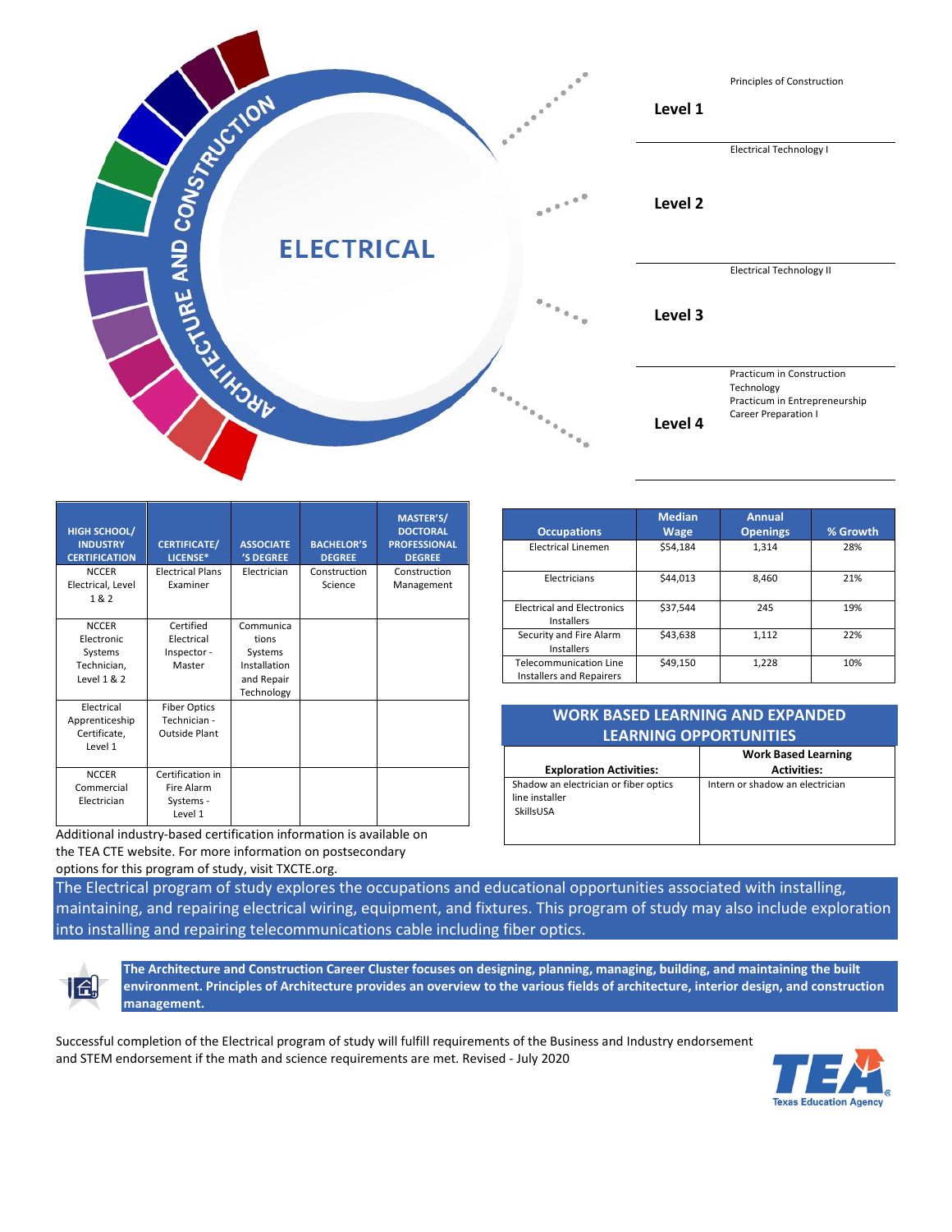

| <b>HIGH SCHOOL/</b><br><b>INDUSTRY</b><br><b>CERTIFICATION</b> | <b>CERTIFICATE/</b><br>LICENSE* | <b>ASSOCIATE</b><br>'S DEGREE | <b>BACHELOR'S</b><br><b>DEGREE</b> | MASTER'S/<br><b>DOCTORAL</b><br><b>PROFESSIONAL</b><br><b>DEGREE</b> |
|----------------------------------------------------------------|---------------------------------|-------------------------------|------------------------------------|----------------------------------------------------------------------|
| <b>NCCER</b>                                                   | <b>Electrical Plans</b>         | Electrician                   | Construction                       | Construction                                                         |
| Electrical, Level                                              | Examiner                        |                               | Science                            | Management                                                           |
| 1&2                                                            |                                 |                               |                                    |                                                                      |
| <b>NCCER</b>                                                   | Certified                       | Communica                     |                                    |                                                                      |
| Electronic                                                     | Electrical                      | tions                         |                                    |                                                                      |
| Systems                                                        | Inspector -                     | Systems                       |                                    |                                                                      |
| Technician,                                                    | Master                          | Installation                  |                                    |                                                                      |
| Level $1 & 2$                                                  |                                 | and Repair                    |                                    |                                                                      |
|                                                                |                                 | Technology                    |                                    |                                                                      |
| Electrical                                                     | <b>Fiber Optics</b>             |                               |                                    |                                                                      |
| Apprenticeship                                                 | Technician -                    |                               |                                    |                                                                      |
| Certificate,<br>Level 1                                        | <b>Outside Plant</b>            |                               |                                    |                                                                      |
|                                                                |                                 |                               |                                    |                                                                      |
| <b>NCCER</b>                                                   | Certification in                |                               |                                    |                                                                      |
| Commercial                                                     | Fire Alarm                      |                               |                                    |                                                                      |
| Electrician                                                    | Systems -                       |                               |                                    |                                                                      |
|                                                                | Level 1                         |                               |                                    |                                                                      |

Additional industry-based certification information is available on the TEA CTE website. For more information on postsecondary options for this program of study, visit TXCTE.org.

| <b>Occupations</b>                                               | <b>Median</b><br><b>Wage</b> | <b>Annual</b><br><b>Openings</b> | % Growth |
|------------------------------------------------------------------|------------------------------|----------------------------------|----------|
| <b>Electrical Linemen</b>                                        | \$54.184                     | 1,314                            | 28%      |
| Electricians                                                     | \$44,013                     | 8,460                            | 21%      |
| <b>Electrical and Electronics</b><br>Installers                  | \$37,544                     | 245                              | 19%      |
| Security and Fire Alarm<br>Installers                            | \$43.638                     | 1,112                            | 22%      |
| <b>Telecommunication Line</b><br><b>Installers and Repairers</b> | \$49,150                     | 1,228                            | 10%      |

| <b>WORK BASED LEARNING AND EXPANDED</b><br><b>LEARNING OPPORTUNITIES</b> |                                                  |  |  |  |
|--------------------------------------------------------------------------|--------------------------------------------------|--|--|--|
| <b>Exploration Activities:</b>                                           | <b>Work Based Learning</b><br><b>Activities:</b> |  |  |  |
| Shadow an electrician or fiber optics<br>line installer<br>SkillsUSA     | Intern or shadow an electrician                  |  |  |  |

The Electrical program of study explores the occupations and educational opportunities associated with installing, maintaining, and repairing electrical wiring, equipment, and fixtures. This program of study may also include exploration into installing and repairing telecommunications cable including fiber optics.



**The Architecture and Construction Career Cluster focuses on designing, planning, managing, building, and maintaining the built environment. Principles of Architecture provides an overview to the various fields of architecture, interior design, and construction management.** 

Successful completion of the Electrical program of study will fulfill requirements of the Business and Industry endorsement and STEM endorsement if the math and science requirements are met. Revised - July 2020